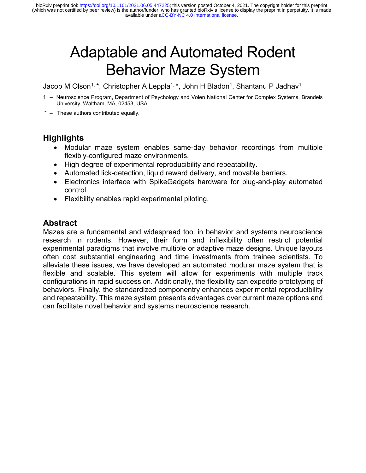# Adaptable and Automated Rodent Behavior Maze System

Jacob M Olson<sup>1, \*</sup>, Christopher A Leppla<sup>1, \*</sup>, John H Bladon<sup>1</sup>, Shantanu P Jadhav<sup>1</sup>

- 1 Neuroscience Program, Department of Psychology and Volen National Center for Complex Systems, Brandeis University, Waltham, MA, 02453, USA
- \* These authors contributed equally.

# **Highlights**

- Modular maze system enables same-day behavior recordings from multiple flexibly-configured maze environments.
- High degree of experimental reproducibility and repeatability.
- Automated lick-detection, liquid reward delivery, and movable barriers.
- Electronics interface with SpikeGadgets hardware for plug-and-play automated control.
- Flexibility enables rapid experimental piloting.

# **Abstract**

Mazes are a fundamental and widespread tool in behavior and systems neuroscience research in rodents. However, their form and inflexibility often restrict potential experimental paradigms that involve multiple or adaptive maze designs. Unique layouts often cost substantial engineering and time investments from trainee scientists. To alleviate these issues, we have developed an automated modular maze system that is flexible and scalable. This system will allow for experiments with multiple track configurations in rapid succession. Additionally, the flexibility can expedite prototyping of behaviors. Finally, the standardized componentry enhances experimental reproducibility and repeatability. This maze system presents advantages over current maze options and can facilitate novel behavior and systems neuroscience research.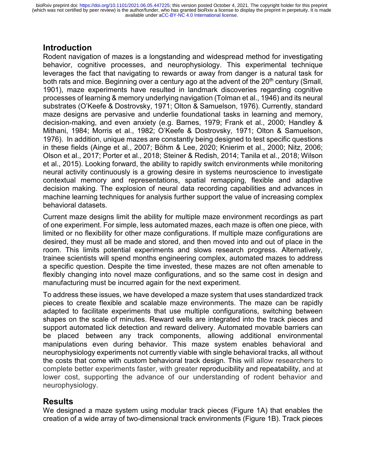#### **Introduction**

Rodent navigation of mazes is a longstanding and widespread method for investigating behavior, cognitive processes, and neurophysiology. This experimental technique leverages the fact that navigating to rewards or away from danger is a natural task for both rats and mice. Beginning over a century ago at the advent of the  $20<sup>th</sup>$  century (Small, 1901), maze experiments have resulted in landmark discoveries regarding cognitive processes of learning & memory underlying navigation (Tolman et al., 1946) and its neural substrates (O'Keefe & Dostrovsky, 1971; Olton & Samuelson, 1976). Currently, standard maze designs are pervasive and underlie foundational tasks in learning and memory, decision-making, and even anxiety (e.g. Barnes, 1979; Frank et al., 2000; Handley & Mithani, 1984; Morris et al., 1982; O'Keefe & Dostrovsky, 1971; Olton & Samuelson, 1976). In addition, unique mazes are constantly being designed to test specific questions in these fields (Ainge et al., 2007; Böhm & Lee, 2020; Knierim et al., 2000; Nitz, 2006; Olson et al., 2017; Porter et al., 2018; Steiner & Redish, 2014; Tanila et al., 2018; Wilson et al., 2015). Looking forward, the ability to rapidly switch environments while monitoring neural activity continuously is a growing desire in systems neuroscience to investigate contextual memory and representations, spatial remapping, flexible and adaptive decision making. The explosion of neural data recording capabilities and advances in machine learning techniques for analysis further support the value of increasing complex behavioral datasets.

Current maze designs limit the ability for multiple maze environment recordings as part of one experiment. For simple, less automated mazes, each maze is often one piece, with limited or no flexibility for other maze configurations. If multiple maze configurations are desired, they must all be made and stored, and then moved into and out of place in the room. This limits potential experiments and slows research progress. Alternatively, trainee scientists will spend months engineering complex, automated mazes to address a specific question. Despite the time invested, these mazes are not often amenable to flexibly changing into novel maze configurations, and so the same cost in design and manufacturing must be incurred again for the next experiment.

To address these issues, we have developed a maze system that uses standardized track pieces to create flexible and scalable maze environments. The maze can be rapidly adapted to facilitate experiments that use multiple configurations, switching between shapes on the scale of minutes. Reward wells are integrated into the track pieces and support automated lick detection and reward delivery. Automated movable barriers can be placed between any track components, allowing additional environmental manipulations even during behavior. This maze system enables behavioral and neurophysiology experiments not currently viable with single behavioral tracks, all without the costs that come with custom behavioral track design. This will allow researchers to complete better experiments faster, with greater reproducibility and repeatability, and at lower cost, supporting the advance of our understanding of rodent behavior and neurophysiology.

#### **Results**

We designed a maze system using modular track pieces (Figure 1A) that enables the creation of a wide array of two-dimensional track environments (Figure 1B). Track pieces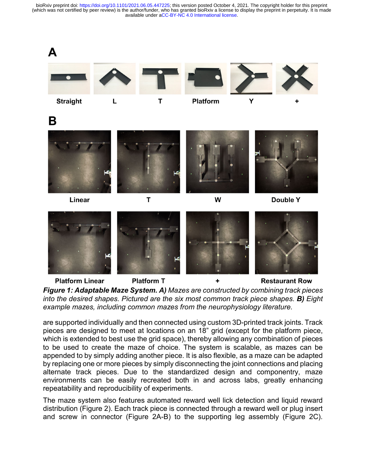



are supported individually and then connected using custom 3D-printed track joints. Track pieces are designed to meet at locations on an 18" grid (except for the platform piece, which is extended to best use the grid space), thereby allowing any combination of pieces to be used to create the maze of choice. The system is scalable, as mazes can be appended to by simply adding another piece. It is also flexible, as a maze can be adapted by replacing one or more pieces by simply disconnecting the joint connections and placing alternate track pieces. Due to the standardized design and componentry, maze environments can be easily recreated both in and across labs, greatly enhancing repeatability and reproducibility of experiments.

The maze system also features automated reward well lick detection and liquid reward distribution (Figure 2). Each track piece is connected through a reward well or plug insert and screw in connector (Figure 2A-B) to the supporting leg assembly (Figure 2C).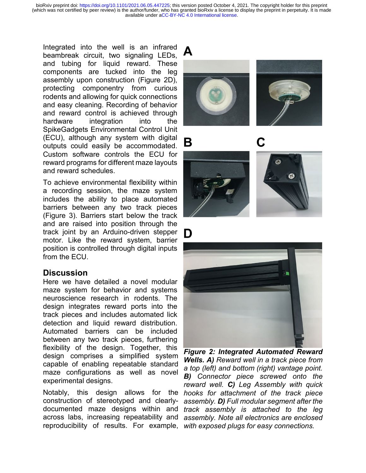Integrated into the well is an infrared beambreak circuit, two signaling LEDs, and tubing for liquid reward. These components are tucked into the leg assembly upon construction (Figure 2D), protecting componentry from curious rodents and allowing for quick connections and easy cleaning. Recording of behavior and reward control is achieved through hardware integration into the SpikeGadgets Environmental Control Unit (ECU), although any system with digital outputs could easily be accommodated. Custom software controls the ECU for reward programs for different maze layouts and reward schedules.

To achieve environmental flexibility within a recording session, the maze system includes the ability to place automated barriers between any two track pieces (Figure 3). Barriers start below the track and are raised into position through the track joint by an Arduino-driven stepper motor. Like the reward system, barrier position is controlled through digital inputs from the ECU.

#### **Discussion**

Here we have detailed a novel modular maze system for behavior and systems neuroscience research in rodents. The design integrates reward ports into the track pieces and includes automated lick detection and liquid reward distribution. Automated barriers can be included between any two track pieces, furthering flexibility of the design. Together, this design comprises a simplified system capable of enabling repeatable standard maze configurations as well as novel experimental designs.

construction of stereotyped and clearly-



B

D







Notably, this design allows for the *hooks for attachment of the track piece*  documented maze designs within and *track assembly is attached to the leg*  across labs, increasing repeatability and *assembly. Note all electronics are enclosed*  reproducibility of results. For example, *with exposed plugs for easy connections. Figure 2: Integrated Automated Reward Wells. A) Reward well in a track piece from a top (left) and bottom (right) vantage point. B) Connector piece screwed onto the reward well. C) Leg Assembly with quick assembly. D) Full modular segment after the*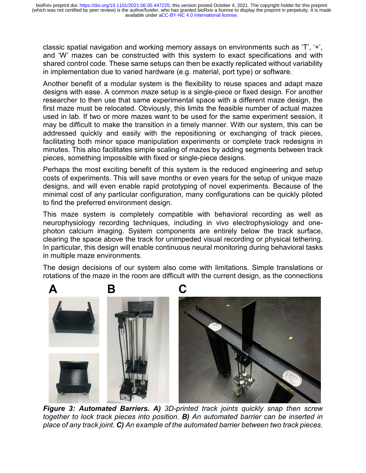classic spatial navigation and working memory assays on environments such as 'T', '+', and 'W' mazes can be constructed with this system to exact specifications and with shared control code. These same setups can then be exactly replicated without variability in implementation due to varied hardware (e.g. material, port type) or software.

Another benefit of a modular system is the flexibility to reuse spaces and adapt maze designs with ease. A common maze setup is a single-piece or fixed design. For another researcher to then use that same experimental space with a different maze design, the first maze must be relocated. Obviously, this limits the feasible number of actual mazes used in lab. If two or more mazes want to be used for the same experiment session, it may be difficult to make the transition in a timely manner. With our system, this can be addressed quickly and easily with the repositioning or exchanging of track pieces, facilitating both minor space manipulation experiments or complete track redesigns in minutes. This also facilitates simple scaling of mazes by adding segments between track pieces, something impossible with fixed or single-piece designs.

Perhaps the most exciting benefit of this system is the reduced engineering and setup costs of experiments. This will save months or even years for the setup of unique maze designs, and will even enable rapid prototyping of novel experiments. Because of the minimal cost of any particular configuration, many configurations can be quickly piloted to find the preferred environment design.

This maze system is completely compatible with behavioral recording as well as neurophysiology recording techniques, including in vivo electrophysiology and onephoton calcium imaging. System components are entirely below the track surface, clearing the space above the track for unimpeded visual recording or physical tethering. In particular, this design will enable continuous neural monitoring during behavioral tasks in multiple maze environments.

The design decisions of our system also come with limitations. Simple translations or rotations of the maze in the room are difficult with the current design, as the connections



*Figure 3: Automated Barriers. A) 3D-printed track joints quickly snap then screw together to lock track pieces into position. B) An automated barrier can be inserted in place of any track joint. C) An example of the automated barrier between two track pieces.*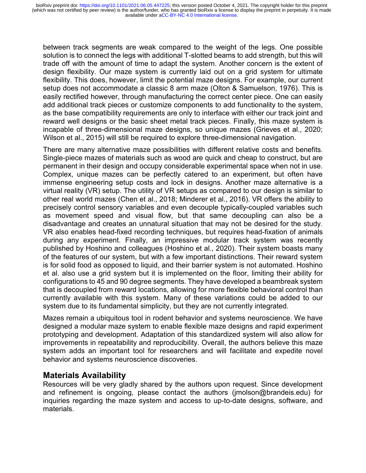between track segments are weak compared to the weight of the legs. One possible solution is to connect the legs with additional T-slotted beams to add strength, but this will trade off with the amount of time to adapt the system. Another concern is the extent of design flexibility. Our maze system is currently laid out on a grid system for ultimate flexibility. This does, however, limit the potential maze designs. For example, our current setup does not accommodate a classic 8 arm maze (Olton & Samuelson, 1976). This is easily rectified however, through manufacturing the correct center piece. One can easily add additional track pieces or customize components to add functionality to the system, as the base compatibility requirements are only to interface with either our track joint and reward well designs or the basic sheet metal track pieces. Finally, this maze system is incapable of three-dimensional maze designs, so unique mazes (Grieves et al., 2020; Wilson et al., 2015) will still be required to explore three-dimensional navigation.

There are many alternative maze possibilities with different relative costs and benefits. Single-piece mazes of materials such as wood are quick and cheap to construct, but are permanent in their design and occupy considerable experimental space when not in use. Complex, unique mazes can be perfectly catered to an experiment, but often have immense engineering setup costs and lock in designs. Another maze alternative is a virtual reality (VR) setup. The utility of VR setups as compared to our design is similar to other real world mazes (Chen et al., 2018; Minderer et al., 2016). VR offers the ability to precisely control sensory variables and even decouple typically-coupled variables such as movement speed and visual flow, but that same decoupling can also be a disadvantage and creates an unnatural situation that may not be desired for the study. VR also enables head-fixed recording techniques, but requires head-fixation of animals during any experiment. Finally, an impressive modular track system was recently published by Hoshino and colleagues (Hoshino et al., 2020). Their system boasts many of the features of our system, but with a few important distinctions. Their reward system is for solid food as opposed to liquid, and their barrier system is not automated. Hoshino et al. also use a grid system but it is implemented on the floor, limiting their ability for configurations to 45 and 90 degree segments. They have developed a beambreak system that is decoupled from reward locations, allowing for more flexible behavioral control than currently available with this system. Many of these variations could be added to our system due to its fundamental simplicity, but they are not currently integrated.

Mazes remain a ubiquitous tool in rodent behavior and systems neuroscience. We have designed a modular maze system to enable flexible maze designs and rapid experiment prototyping and development. Adaptation of this standardized system will also allow for improvements in repeatability and reproducibility. Overall, the authors believe this maze system adds an important tool for researchers and will facilitate and expedite novel behavior and systems neuroscience discoveries.

## **Materials Availability**

Resources will be very gladly shared by the authors upon request. Since development and refinement is ongoing, please contact the authors (jmolson@brandeis.edu) for inquiries regarding the maze system and access to up-to-date designs, software, and materials.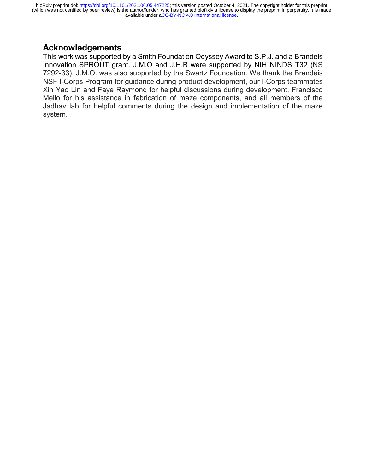### **Acknowledgements**

This work was supported by a Smith Foundation Odyssey Award to S.P.J. and a Brandeis Innovation SPROUT grant. J.M.O and J.H.B were supported by NIH NINDS T32 (NS 7292-33). J.M.O. was also supported by the Swartz Foundation. We thank the Brandeis NSF I-Corps Program for guidance during product development, our I-Corps teammates Xin Yao Lin and Faye Raymond for helpful discussions during development, Francisco Mello for his assistance in fabrication of maze components, and all members of the Jadhav lab for helpful comments during the design and implementation of the maze system.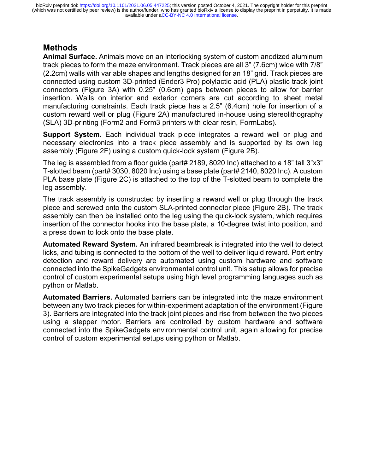## **Methods**

**Animal Surface.** Animals move on an interlocking system of custom anodized aluminum track pieces to form the maze environment. Track pieces are all 3" (7.6cm) wide with 7/8" (2.2cm) walls with variable shapes and lengths designed for an 18" grid. Track pieces are connected using custom 3D-printed (Ender3 Pro) polylactic acid (PLA) plastic track joint connectors (Figure 3A) with 0.25" (0.6cm) gaps between pieces to allow for barrier insertion. Walls on interior and exterior corners are cut according to sheet metal manufacturing constraints. Each track piece has a 2.5" (6.4cm) hole for insertion of a custom reward well or plug (Figure 2A) manufactured in-house using stereolithography (SLA) 3D-printing (Form2 and Form3 printers with clear resin, FormLabs).

**Support System.** Each individual track piece integrates a reward well or plug and necessary electronics into a track piece assembly and is supported by its own leg assembly (Figure 2F) using a custom quick-lock system (Figure 2B).

The leg is assembled from a floor guide (part# 2189, 8020 Inc) attached to a 18" tall 3"x3" T-slotted beam (part# 3030, 8020 Inc) using a base plate (part# 2140, 8020 Inc). A custom PLA base plate (Figure 2C) is attached to the top of the T-slotted beam to complete the leg assembly.

The track assembly is constructed by inserting a reward well or plug through the track piece and screwed onto the custom SLA-printed connector piece (Figure 2B). The track assembly can then be installed onto the leg using the quick-lock system, which requires insertion of the connector hooks into the base plate, a 10-degree twist into position, and a press down to lock onto the base plate.

**Automated Reward System.** An infrared beambreak is integrated into the well to detect licks, and tubing is connected to the bottom of the well to deliver liquid reward. Port entry detection and reward delivery are automated using custom hardware and software connected into the SpikeGadgets environmental control unit. This setup allows for precise control of custom experimental setups using high level programming languages such as python or Matlab.

**Automated Barriers.** Automated barriers can be integrated into the maze environment between any two track pieces for within-experiment adaptation of the environment (Figure 3). Barriers are integrated into the track joint pieces and rise from between the two pieces using a stepper motor. Barriers are controlled by custom hardware and software connected into the SpikeGadgets environmental control unit, again allowing for precise control of custom experimental setups using python or Matlab.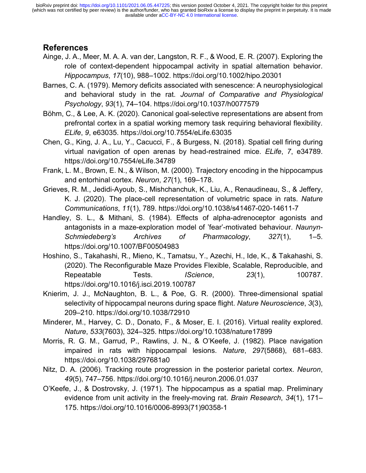#### **References**

- Ainge, J. A., Meer, M. A. A. van der, Langston, R. F., & Wood, E. R. (2007). Exploring the role of context-dependent hippocampal activity in spatial alternation behavior. *Hippocampus*, *17*(10), 988–1002. https://doi.org/10.1002/hipo.20301
- Barnes, C. A. (1979). Memory deficits associated with senescence: A neurophysiological and behavioral study in the rat. *Journal of Comparative and Physiological Psychology*, *93*(1), 74–104. https://doi.org/10.1037/h0077579
- Böhm, C., & Lee, A. K. (2020). Canonical goal-selective representations are absent from prefrontal cortex in a spatial working memory task requiring behavioral flexibility. *ELife*, *9*, e63035. https://doi.org/10.7554/eLife.63035
- Chen, G., King, J. A., Lu, Y., Cacucci, F., & Burgess, N. (2018). Spatial cell firing during virtual navigation of open arenas by head-restrained mice. *ELife*, *7*, e34789. https://doi.org/10.7554/eLife.34789
- Frank, L. M., Brown, E. N., & Wilson, M. (2000). Trajectory encoding in the hippocampus and entorhinal cortex. *Neuron*, *27*(1), 169–178.
- Grieves, R. M., Jedidi-Ayoub, S., Mishchanchuk, K., Liu, A., Renaudineau, S., & Jeffery, K. J. (2020). The place-cell representation of volumetric space in rats. *Nature Communications*, *11*(1), 789. https://doi.org/10.1038/s41467-020-14611-7
- Handley, S. L., & Mithani, S. (1984). Effects of alpha-adrenoceptor agonists and antagonists in a maze-exploration model of 'fear'-motivated behaviour. *Naunyn-Schmiedeberg's Archives of Pharmacology*, *327*(1), 1–5. https://doi.org/10.1007/BF00504983
- Hoshino, S., Takahashi, R., Mieno, K., Tamatsu, Y., Azechi, H., Ide, K., & Takahashi, S. (2020). The Reconfigurable Maze Provides Flexible, Scalable, Reproducible, and Repeatable Tests. *IScience*, *23*(1), 100787. https://doi.org/10.1016/j.isci.2019.100787
- Knierim, J. J., McNaughton, B. L., & Poe, G. R. (2000). Three-dimensional spatial selectivity of hippocampal neurons during space flight. *Nature Neuroscience*, *3*(3), 209–210. https://doi.org/10.1038/72910
- Minderer, M., Harvey, C. D., Donato, F., & Moser, E. I. (2016). Virtual reality explored. *Nature*, *533*(7603), 324–325. https://doi.org/10.1038/nature17899
- Morris, R. G. M., Garrud, P., Rawlins, J. N., & O'Keefe, J. (1982). Place navigation impaired in rats with hippocampal lesions. *Nature*, *297*(5868), 681–683. https://doi.org/10.1038/297681a0
- Nitz, D. A. (2006). Tracking route progression in the posterior parietal cortex. *Neuron*, *49*(5), 747–756. https://doi.org/10.1016/j.neuron.2006.01.037
- O'Keefe, J., & Dostrovsky, J. (1971). The hippocampus as a spatial map. Preliminary evidence from unit activity in the freely-moving rat. *Brain Research*, *34*(1), 171– 175. https://doi.org/10.1016/0006-8993(71)90358-1